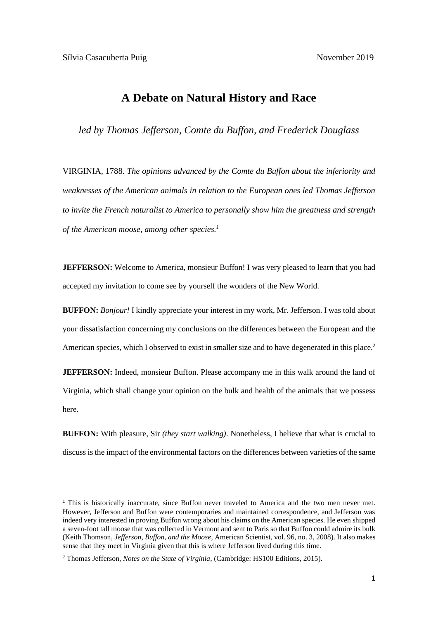## **A Debate on Natural History and Race**

*led by Thomas Jefferson, Comte du Buffon, and Frederick Douglass*

VIRGINIA, 1788. *The opinions advanced by the Comte du Buffon about the inferiority and weaknesses of the American animals in relation to the European ones led Thomas Jefferson to invite the French naturalist to America to personally show him the greatness and strength of the American moose, among other species. 1*

**JEFFERSON:** Welcome to America, monsieur Buffon! I was very pleased to learn that you had accepted my invitation to come see by yourself the wonders of the New World.

**BUFFON:** *Bonjour!* I kindly appreciate your interest in my work, Mr. Jefferson. I was told about your dissatisfaction concerning my conclusions on the differences between the European and the American species, which I observed to exist in smaller size and to have degenerated in this place.<sup>2</sup>

**JEFFERSON:** Indeed, monsieur Buffon. Please accompany me in this walk around the land of Virginia, which shall change your opinion on the bulk and health of the animals that we possess here.

**BUFFON:** With pleasure, Sir *(they start walking)*. Nonetheless, I believe that what is crucial to discuss is the impact of the environmental factors on the differences between varieties of the same

<sup>&</sup>lt;sup>1</sup> This is historically inaccurate, since Buffon never traveled to America and the two men never met. However, Jefferson and Buffon were contemporaries and maintained correspondence, and Jefferson was indeed very interested in proving Buffon wrong about his claims on the American species. He even shipped a seven-foot tall moose that was collected in Vermont and sent to Paris so that Buffon could admire its bulk (Keith Thomson, *Jefferson, Buffon, and the Moose,* American Scientist, vol. 96, no. 3, 2008). It also makes sense that they meet in Virginia given that this is where Jefferson lived during this time.

<sup>2</sup> Thomas Jefferson, *Notes on the State of Virginia,* (Cambridge: HS100 Editions, 2015).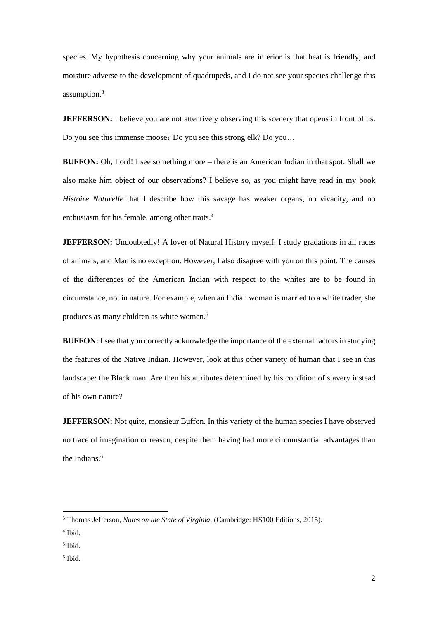species. My hypothesis concerning why your animals are inferior is that heat is friendly, and moisture adverse to the development of quadrupeds, and I do not see your species challenge this assumption.<sup>3</sup>

**JEFFERSON:** I believe you are not attentively observing this scenery that opens in front of us. Do you see this immense moose? Do you see this strong elk? Do you…

**BUFFON:** Oh, Lord! I see something more – there is an American Indian in that spot. Shall we also make him object of our observations? I believe so, as you might have read in my book *Histoire Naturelle* that I describe how this savage has weaker organs, no vivacity, and no enthusiasm for his female, among other traits.<sup>4</sup>

**JEFFERSON:** Undoubtedly! A lover of Natural History myself, I study gradations in all races of animals, and Man is no exception. However, I also disagree with you on this point. The causes of the differences of the American Indian with respect to the whites are to be found in circumstance, not in nature. For example, when an Indian woman is married to a white trader, she produces as many children as white women.<sup>5</sup>

**BUFFON:** I see that you correctly acknowledge the importance of the external factors in studying the features of the Native Indian. However, look at this other variety of human that I see in this landscape: the Black man. Are then his attributes determined by his condition of slavery instead of his own nature?

**JEFFERSON:** Not quite, monsieur Buffon. In this variety of the human species I have observed no trace of imagination or reason, despite them having had more circumstantial advantages than the Indians. 6

6 Ibid.

<sup>3</sup> Thomas Jefferson, *Notes on the State of Virginia,* (Cambridge: HS100 Editions, 2015).

<sup>4</sup> Ibid.

<sup>5</sup> Ibid.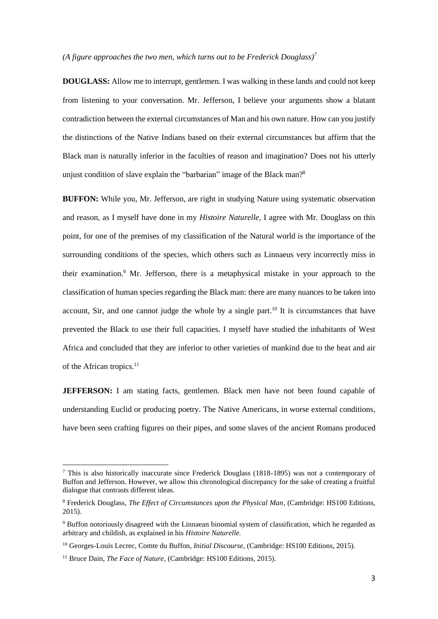## (A figure approaches the two men, which turns out to be Frederick Douglass)<sup>7</sup>

**DOUGLASS:** Allow me to interrupt, gentlemen. I was walking in these lands and could not keep from listening to your conversation. Mr. Jefferson, I believe your arguments show a blatant contradiction between the external circumstances of Man and his own nature. How can you justify the distinctions of the Native Indians based on their external circumstances but affirm that the Black man is naturally inferior in the faculties of reason and imagination? Does not his utterly unjust condition of slave explain the "barbarian" image of the Black man?<sup>8</sup>

**BUFFON:** While you, Mr. Jefferson, are right in studying Nature using systematic observation and reason, as I myself have done in my *Histoire Naturelle,* I agree with Mr. Douglass on this point, for one of the premises of my classification of the Natural world is the importance of the surrounding conditions of the species, which others such as Linnaeus very incorrectly miss in their examination. <sup>9</sup> Mr. Jefferson, there is a metaphysical mistake in your approach to the classification of human species regarding the Black man: there are many nuances to be taken into account. Sir, and one cannot judge the whole by a single part.<sup>10</sup> It is circumstances that have prevented the Black to use their full capacities. I myself have studied the inhabitants of West Africa and concluded that they are inferior to other varieties of mankind due to the heat and air of the African tropics.<sup>11</sup>

**JEFFERSON:** I am stating facts, gentlemen. Black men have not been found capable of understanding Euclid or producing poetry. The Native Americans, in worse external conditions, have been seen crafting figures on their pipes, and some slaves of the ancient Romans produced

<sup>7</sup> This is also historically inaccurate since Frederick Douglass (1818-1895) was not a contemporary of Buffon and Jefferson. However, we allow this chronological discrepancy for the sake of creating a fruitful dialogue that contrasts different ideas.

<sup>8</sup> Frederick Douglass, *The Effect of Circumstances upon the Physical Man,* (Cambridge: HS100 Editions, 2015).

<sup>9</sup> Buffon notoriously disagreed with the Linnaean binomial system of classification, which he regarded as arbitrary and childish, as explained in his *Histoire Naturelle.* 

<sup>10</sup> Georges-Louis Lecrec, Comte du Buffon, *Initial Discourse,* (Cambridge: HS100 Editions, 2015).

<sup>&</sup>lt;sup>11</sup> Bruce Dain, *The Face of Nature*, (Cambridge: HS100 Editions, 2015).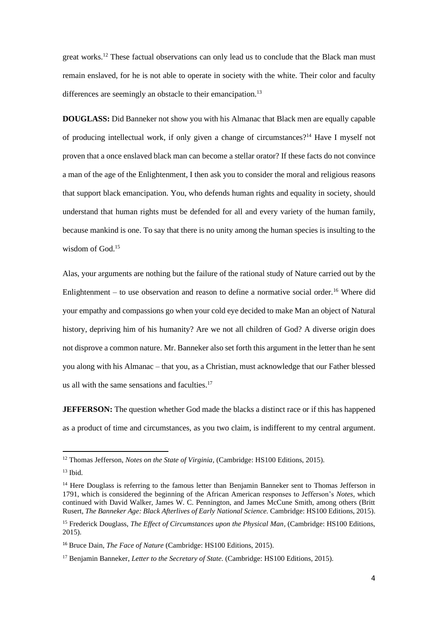great works.<sup>12</sup> These factual observations can only lead us to conclude that the Black man must remain enslaved, for he is not able to operate in society with the white. Their color and faculty differences are seemingly an obstacle to their emancipation.<sup>13</sup>

**DOUGLASS:** Did Banneker not show you with his Almanac that Black men are equally capable of producing intellectual work, if only given a change of circumstances?<sup>14</sup> Have I myself not proven that a once enslaved black man can become a stellar orator? If these facts do not convince a man of the age of the Enlightenment, I then ask you to consider the moral and religious reasons that support black emancipation. You, who defends human rights and equality in society, should understand that human rights must be defended for all and every variety of the human family, because mankind is one. To say that there is no unity among the human species is insulting to the wisdom of God. 15

Alas, your arguments are nothing but the failure of the rational study of Nature carried out by the Enlightenment – to use observation and reason to define a normative social order.<sup>16</sup> Where did your empathy and compassions go when your cold eye decided to make Man an object of Natural history, depriving him of his humanity? Are we not all children of God? A diverse origin does not disprove a common nature. Mr. Banneker also set forth this argument in the letter than he sent you along with his Almanac – that you, as a Christian, must acknowledge that our Father blessed us all with the same sensations and faculties. $17$ 

**JEFFERSON:** The question whether God made the blacks a distinct race or if this has happened as a product of time and circumstances, as you two claim, is indifferent to my central argument.

<sup>12</sup> Thomas Jefferson, *Notes on the State of Virginia,* (Cambridge: HS100 Editions, 2015).

 $13$  Ibid.

<sup>&</sup>lt;sup>14</sup> Here Douglass is referring to the famous letter than Benjamin Banneker sent to Thomas Jefferson in 1791, which is considered the beginning of the African American responses to Jefferson's *Notes*, which continued with David Walker, James W. C. Pennington, and James McCune Smith, among others (Britt Rusert, *The Banneker Age: Black Afterlives of Early National Science.* Cambridge: HS100 Editions, 2015).

<sup>15</sup> Frederick Douglass, *The Effect of Circumstances upon the Physical Man,* (Cambridge: HS100 Editions, 2015).

<sup>16</sup> Bruce Dain, *The Face of Nature* (Cambridge: HS100 Editions, 2015).

<sup>17</sup> Benjamin Banneker, *Letter to the Secretary of State.* (Cambridge: HS100 Editions, 2015).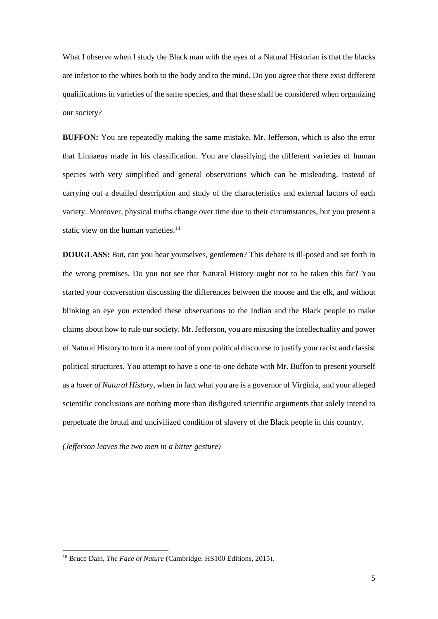What I observe when I study the Black man with the eyes of a Natural Historian is that the blacks are inferior to the whites both to the body and to the mind. Do you agree that there exist different qualifications in varieties of the same species, and that these shall be considered when organizing our society?

**BUFFON:** You are repeatedly making the same mistake, Mr. Jefferson, which is also the error that Linnaeus made in his classification. You are classifying the different varieties of human species with very simplified and general observations which can be misleading, instead of carrying out a detailed description and study of the characteristics and external factors of each variety. Moreover, physical truths change over time due to their circumstances, but you present a static view on the human varieties.<sup>18</sup>

**DOUGLASS:** But, can you hear yourselves, gentlemen? This debate is ill-posed and set forth in the wrong premises. Do you not see that Natural History ought not to be taken this far? You started your conversation discussing the differences between the moose and the elk, and without blinking an eye you extended these observations to the Indian and the Black people to make claims about how to rule our society. Mr. Jefferson, you are misusing the intellectuality and power of Natural History to turn it a mere tool of your political discourse to justify your racist and classist political structures. You attempt to have a one-to-one debate with Mr. Buffon to present yourself as a *lover of Natural History,* when in fact what you are is a governor of Virginia, and your alleged scientific conclusions are nothing more than disfigured scientific arguments that solely intend to perpetuate the brutal and uncivilized condition of slavery of the Black people in this country.

*(Jefferson leaves the two men in a bitter gesture)*

<sup>&</sup>lt;sup>18</sup> Bruce Dain, *The Face of Nature* (Cambridge: HS100 Editions, 2015).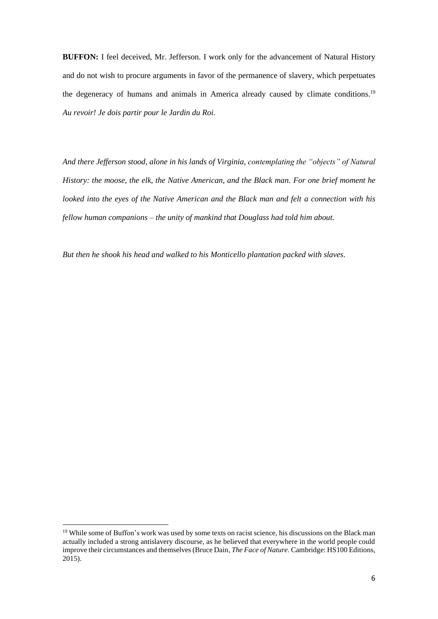**BUFFON:** I feel deceived, Mr. Jefferson. I work only for the advancement of Natural History and do not wish to procure arguments in favor of the permanence of slavery, which perpetuates the degeneracy of humans and animals in America already caused by climate conditions.<sup>19</sup> *Au revoir! Je dois partir pour le Jardin du Roi.*

*And there Jefferson stood, alone in his lands of Virginia, contemplating the "objects" of Natural History: the moose, the elk, the Native American, and the Black man. For one brief moment he looked into the eyes of the Native American and the Black man and felt a connection with his fellow human companions – the unity of mankind that Douglass had told him about.* 

*But then he shook his head and walked to his Monticello plantation packed with slaves.*

<sup>&</sup>lt;sup>19</sup> While some of Buffon's work was used by some texts on racist science, his discussions on the Black man actually included a strong antislavery discourse, as he believed that everywhere in the world people could improve their circumstances and themselves (Bruce Dain, *The Face of Nature.* Cambridge: HS100 Editions, 2015).